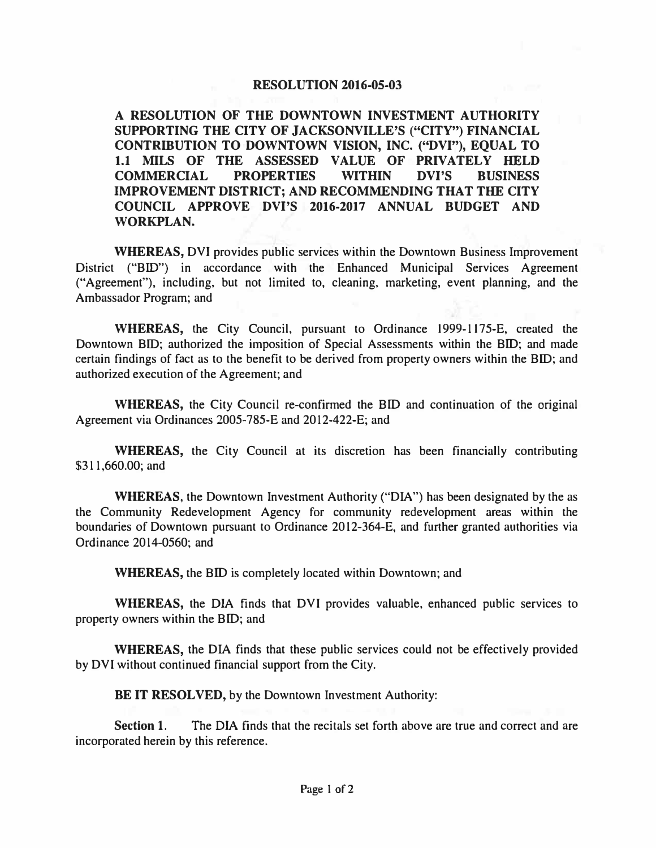## **RESOLUTION 2016-05-03**

**A RESOLUTION OF THE DOWNTOWN INVESTMENT AUTHORITY SUPPORTING THE CITY OF JACKSONVILLE'S ("CITY") FINANCIAL CONTRIBUTION TO DOWNTOWN VISION, INC. ("DVI"), EQUAL TO 1.1 MILS OF THE ASSESSED VALUE OF PRIVATELY HELD COMMERCIAL PROPERTIES WITHIN DVl'S BUSINESS IMPROVEMENT DISTRICT; AND RECOMMENDING THAT THE CITY COUNCIL APPROVE DVl'S 2016-2017 ANNUAL BUDGET AND WORKPLAN.** 

**WHEREAS,** DVI provides public services within the Downtown Business Improvement District ("BID") in accordance with the Enhanced Municipal Services Agreement ("Agreement"), including, but not limited to, cleaning, marketing, event planning, and the Ambassador Program; and

**WHEREAS,** the City Council, pursuant to Ordinance 1999-1175-E, created the Downtown BID; authorized the imposition of Special Assessments within the BID; and made certain findings of fact as to the benefit to be derived from property owners within the BID; and authorized execution of the Agreement; and

**WHEREAS,** the City Council re-confirmed the BID and continuation of the original Agreement via Ordinances 2005-785-E and 2012-422-E; and

**WHEREAS,** the City Council at its discretion has been financially contributing \$31 1,660.00; and

**WHEREAS,** the Downtown Investment Authority ("DIA") has been designated by the as the Community Redevelopment Agency for community redevelopment areas within the boundaries of Downtown pursuant to Ordinance 2012-364-E, and further granted authorities via Ordinance 2014-0560; and

**WHEREAS,** the BID is completely located within Downtown; and

**WHEREAS,** the DIA finds that DVI provides valuable, enhanced public services to property owners within the BID; and

**WHEREAS,** the DIA finds that these public services could not be effectively provided by DVI without continued financial support from the City.

**BE IT RESOLVED, by the Downtown Investment Authority:** 

**Section 1.** The DIA finds that the recitals set forth above are true and correct and are incorporated herein by this reference.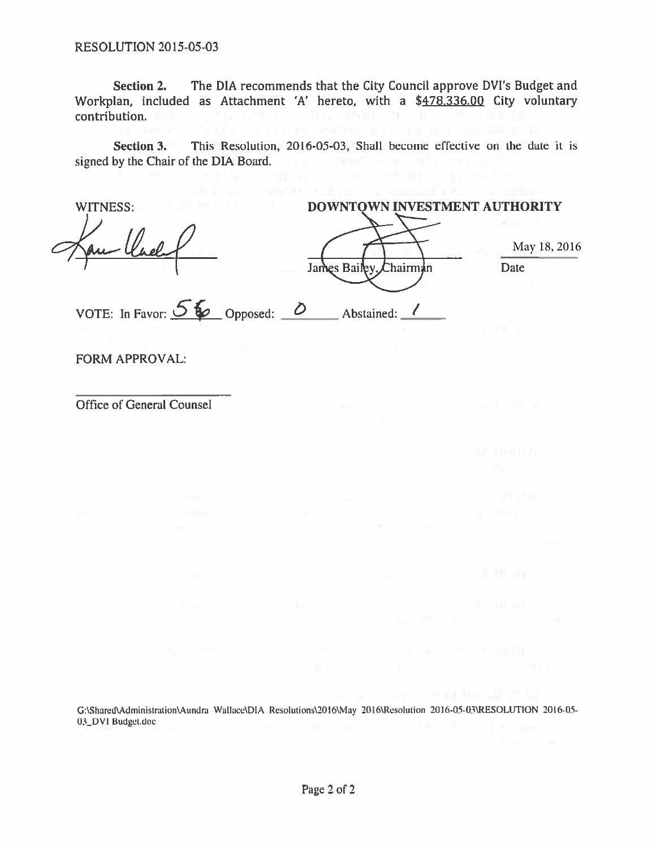**RESOLUTION 2015-05-03** 

The DIA recommends that the City Council approve DVI's Budget and **Section 2.** Workplan, included as Attachment 'A' hereto, with a \$478,336.00 City voluntary STATE-1987 (F. 1990), MARIE 1991, INTERNATIONAL PROPERTY OF THE STATE REPORT OF THE STATE REPORT OF THE STATE O<br>(Fig. 1990) (Fig. 1991) (Fig. 1990) (Fig. 1991) (Fig. 1991) (Fig. 1991) (Fig. 1991) contribution.

This Resolution, 2016-05-03, Shall become effective on the date it is Section 3. signed by the Chair of the DIA Board.

| WITNESS:                        | DOWNTOWN INVESTMENT AUTHORITY |              |  |  |
|---------------------------------|-------------------------------|--------------|--|--|
|                                 |                               | May 18, 2016 |  |  |
|                                 | James Bailey, Chairman        | Date         |  |  |
|                                 |                               |              |  |  |
| VOTE: In Favor: $56$ Opposed: 0 | Abstained:                    |              |  |  |
|                                 |                               |              |  |  |
| <b>FORM APPROVAL:</b>           |                               |              |  |  |

Office of General Counsel

G:\Shared\Administration\Aundra Wallace\DIA Resolutions\2016\May 2016\Resolution 2016-05-03\RESOLUTION 2016-05-03\_DVI Budget.doc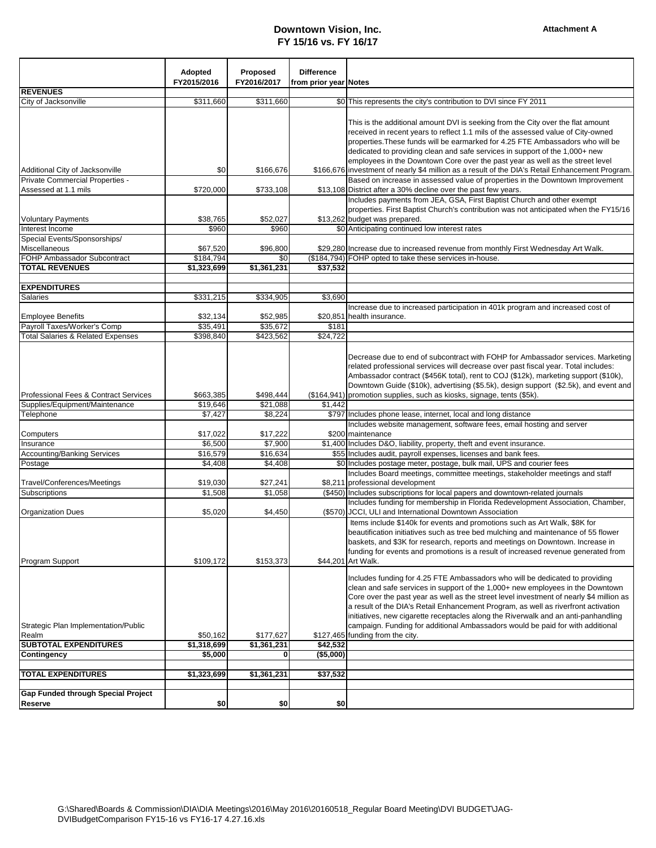## **Downtown Vision, Inc. FY 15/16 vs. FY 16/17**

|                                               | <b>Adopted</b>        | Proposed            | <b>Difference</b>     |                                                                                                                                                                    |
|-----------------------------------------------|-----------------------|---------------------|-----------------------|--------------------------------------------------------------------------------------------------------------------------------------------------------------------|
|                                               | FY2015/2016           | FY2016/2017         | from prior year Notes |                                                                                                                                                                    |
| <b>REVENUES</b>                               |                       |                     |                       |                                                                                                                                                                    |
| City of Jacksonville                          | \$311,660             | \$311,660           |                       | \$0 This represents the city's contribution to DVI since FY 2011                                                                                                   |
|                                               |                       |                     |                       | This is the additional amount DVI is seeking from the City over the flat amount                                                                                    |
|                                               |                       |                     |                       | received in recent years to reflect 1.1 mils of the assessed value of City-owned                                                                                   |
|                                               |                       |                     |                       | properties. These funds will be earmarked for 4.25 FTE Ambassadors who will be                                                                                     |
|                                               |                       |                     |                       | dedicated to providing clean and safe services in support of the 1,000+ new                                                                                        |
|                                               |                       |                     |                       | employees in the Downtown Core over the past year as well as the street level                                                                                      |
| Additional City of Jacksonville               | \$0                   | \$166,676           |                       | \$166,676 investment of nearly \$4 million as a result of the DIA's Retail Enhancement Program.                                                                    |
| Private Commercial Properties -               |                       |                     |                       | Based on increase in assessed value of properties in the Downtown Improvement                                                                                      |
| Assessed at 1.1 mils                          | \$720,000             | \$733,108           |                       | \$13,108 District after a 30% decline over the past few years.                                                                                                     |
|                                               |                       |                     |                       | Includes payments from JEA, GSA, First Baptist Church and other exempt                                                                                             |
|                                               |                       |                     |                       | properties. First Baptist Church's contribution was not anticipated when the FY15/16                                                                               |
| <b>Voluntary Payments</b>                     | \$38,765              | \$52,027            |                       | \$13,262 budget was prepared.                                                                                                                                      |
| Interest Income                               | \$960                 | \$960               |                       | \$0 Anticipating continued low interest rates                                                                                                                      |
| Special Events/Sponsorships/                  |                       |                     |                       |                                                                                                                                                                    |
| Miscellaneous<br>FOHP Ambassador Subcontract  | \$67,520<br>\$184,794 | \$96,800<br>\$0     |                       | \$29,280 Increase due to increased revenue from monthly First Wednesday Art Walk.<br>(\$184,794) FOHP opted to take these services in-house.                       |
| <b>TOTAL REVENUES</b>                         | \$1,323,699           | \$1,361,231         | \$37,532              |                                                                                                                                                                    |
|                                               |                       |                     |                       |                                                                                                                                                                    |
| <b>EXPENDITURES</b>                           |                       |                     |                       |                                                                                                                                                                    |
| Salaries                                      | \$331,215             | \$334,905           | \$3,690               |                                                                                                                                                                    |
|                                               |                       |                     |                       | Increase due to increased participation in 401k program and increased cost of                                                                                      |
| <b>Employee Benefits</b>                      | \$32,134              | \$52,985            |                       | \$20,851 health insurance.                                                                                                                                         |
| Payroll Taxes/Worker's Comp                   | \$35,491              | \$35,672            | \$181                 |                                                                                                                                                                    |
| <b>Total Salaries &amp; Related Expenses</b>  | \$398,840             | \$423,562           | $\sqrt{$24,722}$      |                                                                                                                                                                    |
|                                               |                       |                     |                       |                                                                                                                                                                    |
|                                               |                       |                     |                       | Decrease due to end of subcontract with FOHP for Ambassador services. Marketing                                                                                    |
|                                               |                       |                     |                       | related professional services will decrease over past fiscal year. Total includes:                                                                                 |
|                                               |                       |                     |                       | Ambassador contract (\$456K total), rent to COJ (\$12k), marketing support (\$10k),                                                                                |
|                                               |                       |                     |                       | Downtown Guide (\$10k), advertising (\$5.5k), design support (\$2.5k), and event and                                                                               |
| Professional Fees & Contract Services         | \$663,385             | \$498,444           |                       | (\$164,941) promotion supplies, such as kiosks, signage, tents (\$5k).                                                                                             |
| Supplies/Equipment/Maintenance<br>Telephone   | \$19,646<br>\$7,427   | \$21,088<br>\$8,224 | \$1,442               | \$797 Includes phone lease, internet, local and long distance                                                                                                      |
|                                               |                       |                     |                       | Includes website management, software fees, email hosting and server                                                                                               |
| Computers                                     | \$17,022              | \$17,222            |                       | \$200 maintenance                                                                                                                                                  |
| Insurance                                     | \$6,500               | \$7,900             |                       | \$1,400 Includes D&O, liability, property, theft and event insurance.                                                                                              |
| Accounting/Banking Services                   | \$16,579              | \$16,634            |                       | \$55 Includes audit, payroll expenses, licenses and bank fees.                                                                                                     |
| Postage                                       | \$4,408               | \$4,408             |                       | \$0 Includes postage meter, postage, bulk mail, UPS and courier fees                                                                                               |
|                                               |                       |                     |                       | Includes Board meetings, committee meetings, stakeholder meetings and staff                                                                                        |
| Travel/Conferences/Meetings                   | \$19,030              | \$27,241            |                       | \$8,211 professional development                                                                                                                                   |
| Subscriptions                                 | \$1,508               | \$1,058             |                       | (\$450) Includes subscriptions for local papers and downtown-related journals                                                                                      |
|                                               |                       |                     |                       | Includes funding for membership in Florida Redevelopment Association, Chamber,                                                                                     |
| <b>Organization Dues</b>                      | \$5,020               | \$4,450             |                       | (\$570) JCCI, ULI and International Downtown Association                                                                                                           |
|                                               |                       |                     |                       | Items include \$140k for events and promotions such as Art Walk, \$8K for                                                                                          |
|                                               |                       |                     |                       | beautification initiatives such as tree bed mulching and maintenance of 55 flower                                                                                  |
|                                               |                       |                     |                       | baskets, and \$3K for research, reports and meetings on Downtown. Increase in<br>funding for events and promotions is a result of increased revenue generated from |
| Program Support                               | \$109,172             | \$153,373           |                       | \$44,201 Art Walk.                                                                                                                                                 |
|                                               |                       |                     |                       |                                                                                                                                                                    |
|                                               |                       |                     |                       | Includes funding for 4.25 FTE Ambassadors who will be dedicated to providing                                                                                       |
|                                               |                       |                     |                       | clean and safe services in support of the 1,000+ new employees in the Downtown                                                                                     |
|                                               |                       |                     |                       | Core over the past year as well as the street level investment of nearly \$4 million as                                                                            |
|                                               |                       |                     |                       | a result of the DIA's Retail Enhancement Program, as well as riverfront activation                                                                                 |
|                                               |                       |                     |                       | initiatives, new cigarette receptacles along the Riverwalk and an anti-panhandling                                                                                 |
| Strategic Plan Implementation/Public<br>Realm | \$50,162              | \$177,627           |                       | campaign. Funding for additional Ambassadors would be paid for with additional<br>\$127,465 funding from the city.                                                 |
| <b>SUBTOTAL EXPENDITURES</b>                  | \$1,318,699           | \$1,361,231         | \$42,532              |                                                                                                                                                                    |
| Contingency                                   | \$5,000               | 0                   | (\$5,000)             |                                                                                                                                                                    |
|                                               |                       |                     |                       |                                                                                                                                                                    |
| <b>TOTAL EXPENDITURES</b>                     | \$1,323,699           | \$1,361,231         | \$37,532              |                                                                                                                                                                    |
|                                               |                       |                     |                       |                                                                                                                                                                    |
| <b>Gap Funded through Special Project</b>     |                       |                     |                       |                                                                                                                                                                    |
| <b>Reserve</b>                                | \$0                   | \$0                 | \$0                   |                                                                                                                                                                    |